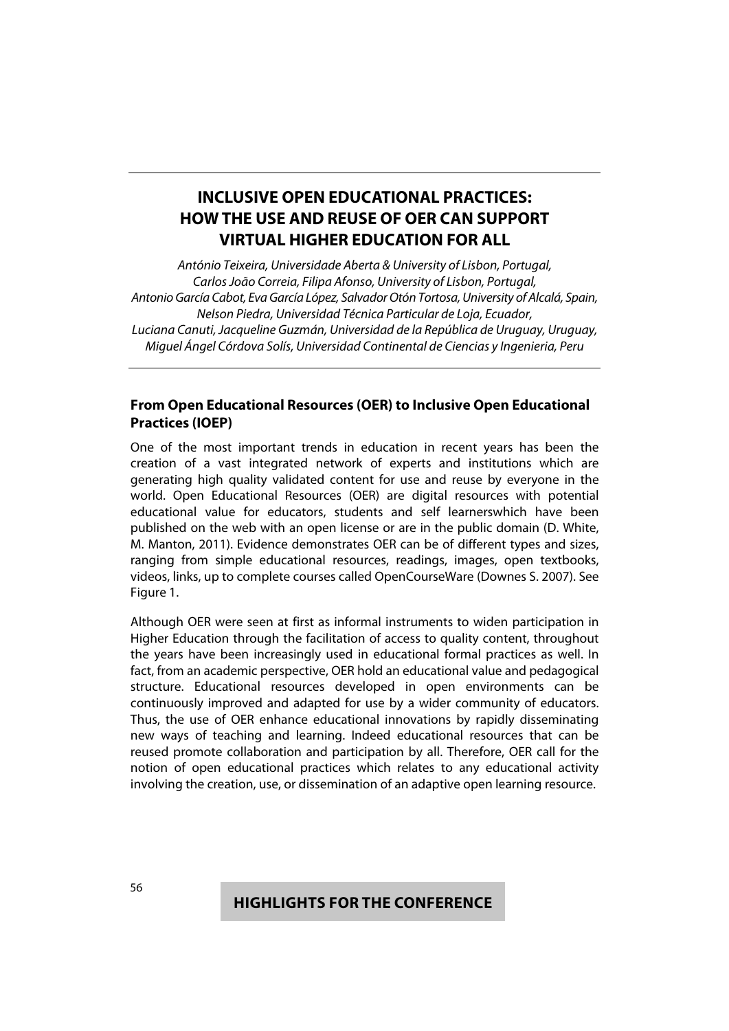# **INCLUSIVE OPEN EDUCATIONAL PRACTICES: HOW THE USE AND REUSE OF OER CAN SUPPORT VIRTUAL HIGHER EDUCATION FOR ALL**

António Teixeira, Universidade Aberta & University of Lisbon, Portugal, Carlos João Correia, Filipa Afonso, University of Lisbon, Portugal, Antonio García Cabot, Eva García López, Salvador Otón Tortosa, University of Alcalá, Spain, Nelson Piedra, Universidad Técnica Particular de Loja, Ecuador, Luciana Canuti, Jacqueline Guzmán, Universidad de la República de Uruguay, Uruguay, Miguel Ángel Córdova Solís, Universidad Continental de Ciencias y Ingenieria, Peru

### **From Open Educational Resources (OER) to Inclusive Open Educational Practices (IOEP)**

One of the most important trends in education in recent years has been the creation of a vast integrated network of experts and institutions which are generating high quality validated content for use and reuse by everyone in the world. Open Educational Resources (OER) are digital resources with potential educational value for educators, students and self learnerswhich have been published on the web with an open license or are in the public domain (D. White, M. Manton, 2011). Evidence demonstrates OER can be of different types and sizes, ranging from simple educational resources, readings, images, open textbooks, videos, links, up to complete courses called OpenCourseWare (Downes S. 2007). See Figure 1.

Although OER were seen at first as informal instruments to widen participation in Higher Education through the facilitation of access to quality content, throughout the years have been increasingly used in educational formal practices as well. In fact, from an academic perspective, OER hold an educational value and pedagogical structure. Educational resources developed in open environments can be continuously improved and adapted for use by a wider community of educators. Thus, the use of OER enhance educational innovations by rapidly disseminating new ways of teaching and learning. Indeed educational resources that can be reused promote collaboration and participation by all. Therefore, OER call for the notion of open educational practices which relates to any educational activity involving the creation, use, or dissemination of an adaptive open learning resource.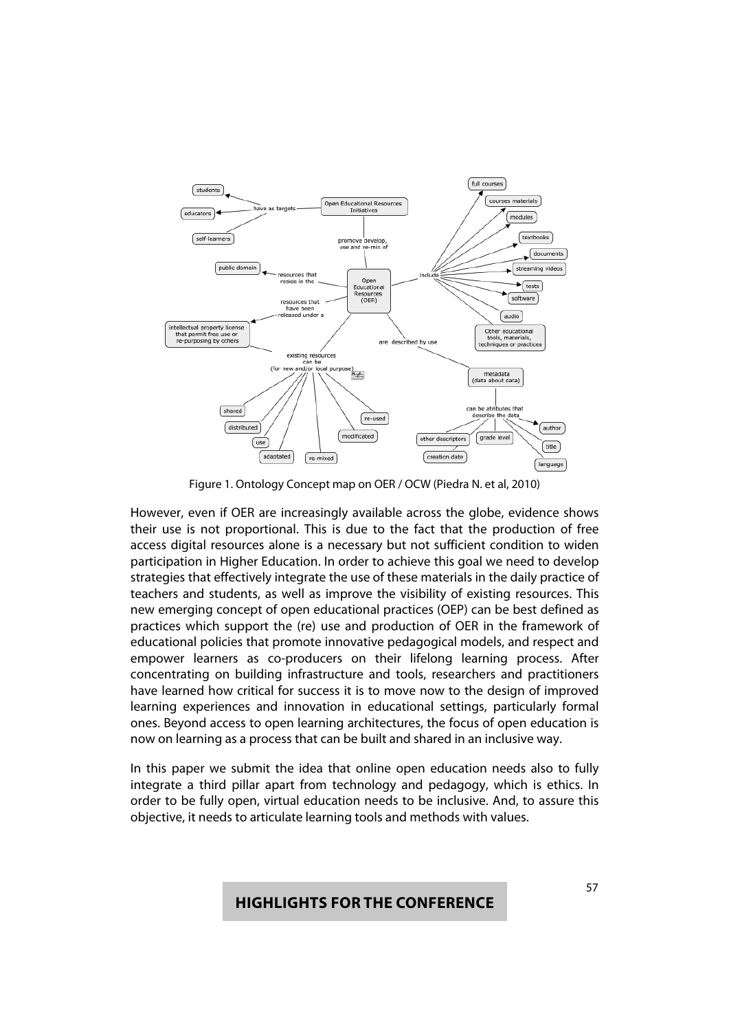

Figure 1. Ontology Concept map on OER / OCW (Piedra N. et al, 2010)

However, even if OER are increasingly available across the globe, evidence shows their use is not proportional. This is due to the fact that the production of free access digital resources alone is a necessary but not sufficient condition to widen participation in Higher Education. In order to achieve this goal we need to develop strategies that effectively integrate the use of these materials in the daily practice of teachers and students, as well as improve the visibility of existing resources. This new emerging concept of open educational practices (OEP) can be best defined as practices which support the (re) use and production of OER in the framework of educational policies that promote innovative pedagogical models, and respect and empower learners as co-producers on their lifelong learning process. After concentrating on building infrastructure and tools, researchers and practitioners have learned how critical for success it is to move now to the design of improved learning experiences and innovation in educational settings, particularly formal ones. Beyond access to open learning architectures, the focus of open education is now on learning as a process that can be built and shared in an inclusive way.

In this paper we submit the idea that online open education needs also to fully integrate a third pillar apart from technology and pedagogy, which is ethics. In order to be fully open, virtual education needs to be inclusive. And, to assure this objective, it needs to articulate learning tools and methods with values.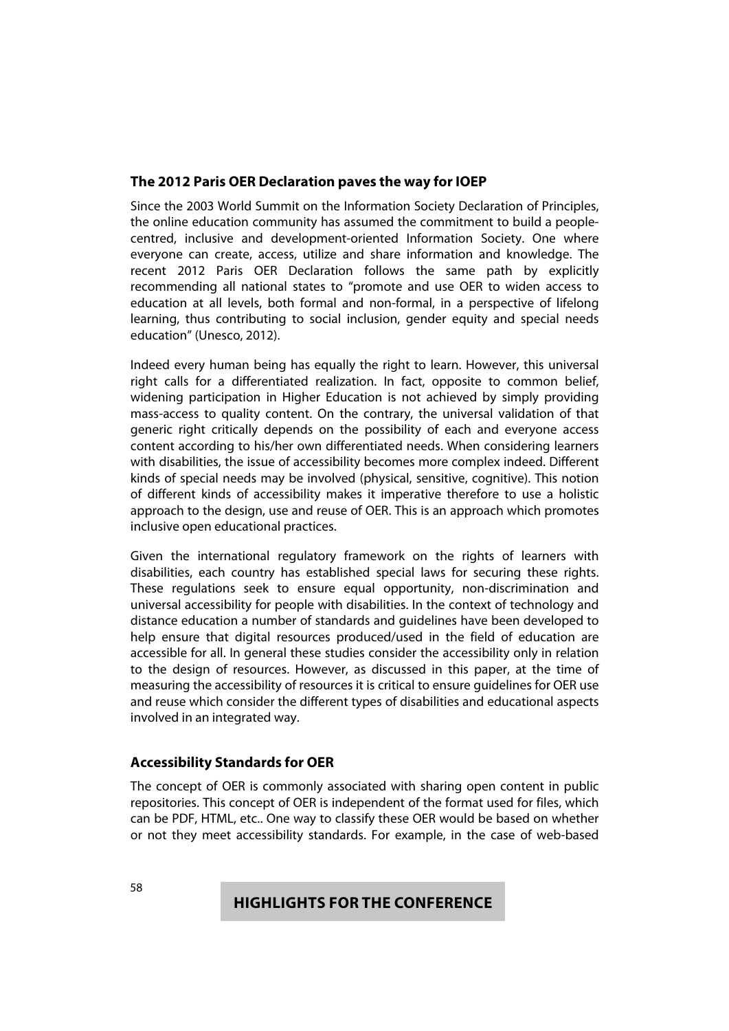### **The 2012 Paris OER Declaration paves the way for IOEP**

Since the 2003 World Summit on the Information Society Declaration of Principles, the online education community has assumed the commitment to build a peoplecentred, inclusive and development-oriented Information Society. One where everyone can create, access, utilize and share information and knowledge. The recent 2012 Paris OER Declaration follows the same path by explicitly recommending all national states to "promote and use OER to widen access to education at all levels, both formal and non-formal, in a perspective of lifelong learning, thus contributing to social inclusion, gender equity and special needs education" (Unesco, 2012).

Indeed every human being has equally the right to learn. However, this universal right calls for a differentiated realization. In fact, opposite to common belief, widening participation in Higher Education is not achieved by simply providing mass-access to quality content. On the contrary, the universal validation of that generic right critically depends on the possibility of each and everyone access content according to his/her own differentiated needs. When considering learners with disabilities, the issue of accessibility becomes more complex indeed. Different kinds of special needs may be involved (physical, sensitive, cognitive). This notion of different kinds of accessibility makes it imperative therefore to use a holistic approach to the design, use and reuse of OER. This is an approach which promotes inclusive open educational practices.

Given the international regulatory framework on the rights of learners with disabilities, each country has established special laws for securing these rights. These regulations seek to ensure equal opportunity, non-discrimination and universal accessibility for people with disabilities. In the context of technology and distance education a number of standards and guidelines have been developed to help ensure that digital resources produced/used in the field of education are accessible for all. In general these studies consider the accessibility only in relation to the design of resources. However, as discussed in this paper, at the time of measuring the accessibility of resources it is critical to ensure guidelines for OER use and reuse which consider the different types of disabilities and educational aspects involved in an integrated way.

### **Accessibility Standards for OER**

The concept of OER is commonly associated with sharing open content in public repositories. This concept of OER is independent of the format used for files, which can be PDF, HTML, etc.. One way to classify these OER would be based on whether or not they meet accessibility standards. For example, in the case of web-based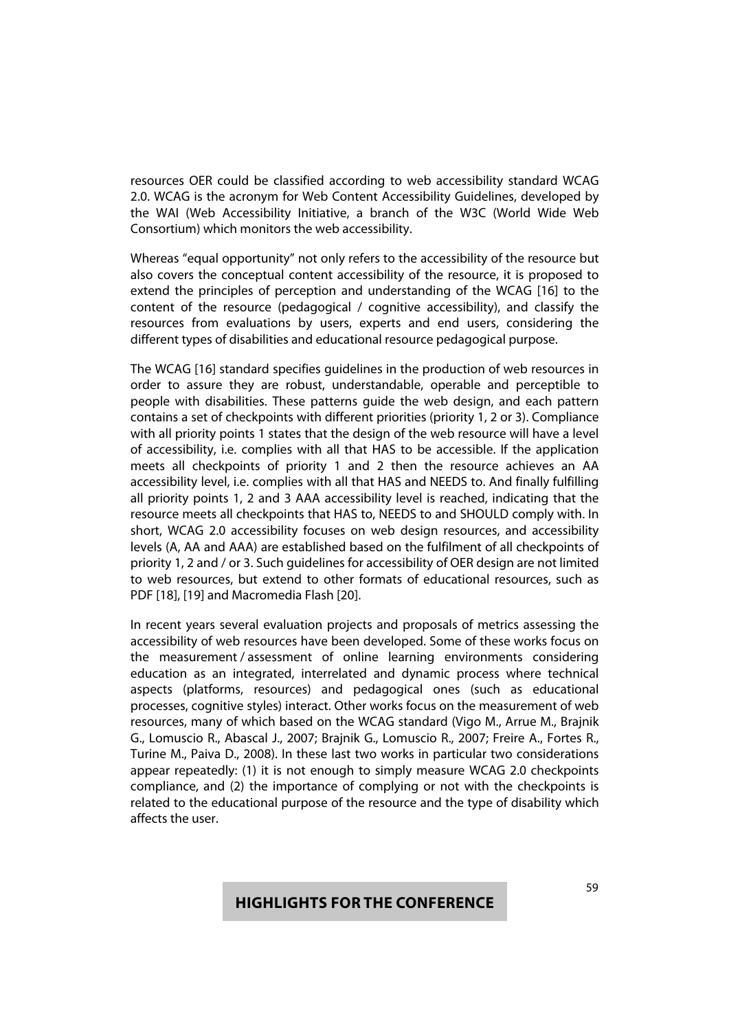resources OER could be classified according to web accessibility standard WCAG 2.0. WCAG is the acronym for Web Content Accessibility Guidelines, developed by the WAI (Web Accessibility Initiative, a branch of the W3C (World Wide Web Consortium) which monitors the web accessibility.

Whereas "equal opportunity" not only refers to the accessibility of the resource but also covers the conceptual content accessibility of the resource, it is proposed to extend the principles of perception and understanding of the WCAG [16] to the content of the resource (pedagogical / cognitive accessibility), and classify the resources from evaluations by users, experts and end users, considering the different types of disabilities and educational resource pedagogical purpose.

The WCAG [16] standard specifies guidelines in the production of web resources in order to assure they are robust, understandable, operable and perceptible to people with disabilities. These patterns guide the web design, and each pattern contains a set of checkpoints with different priorities (priority 1, 2 or 3). Compliance with all priority points 1 states that the design of the web resource will have a level of accessibility, i.e. complies with all that HAS to be accessible. If the application meets all checkpoints of priority 1 and 2 then the resource achieves an AA accessibility level, i.e. complies with all that HAS and NEEDS to. And finally fulfilling all priority points 1, 2 and 3 AAA accessibility level is reached, indicating that the resource meets all checkpoints that HAS to, NEEDS to and SHOULD comply with. In short, WCAG 2.0 accessibility focuses on web design resources, and accessibility levels (A, AA and AAA) are established based on the fulfilment of all checkpoints of priority 1, 2 and / or 3. Such guidelines for accessibility of OER design are not limited to web resources, but extend to other formats of educational resources, such as PDF [18], [19] and Macromedia Flash [20].

In recent years several evaluation projects and proposals of metrics assessing the accessibility of web resources have been developed. Some of these works focus on the measurement / assessment of online learning environments considering education as an integrated, interrelated and dynamic process where technical aspects (platforms, resources) and pedagogical ones (such as educational processes, cognitive styles) interact. Other works focus on the measurement of web resources, many of which based on the WCAG standard (Vigo M., Arrue M., Brajnik G., Lomuscio R., Abascal J., 2007; Brajnik G., Lomuscio R., 2007; Freire A., Fortes R., Turine M., Paiva D., 2008). In these last two works in particular two considerations appear repeatedly: (1) it is not enough to simply measure WCAG 2.0 checkpoints compliance, and (2) the importance of complying or not with the checkpoints is related to the educational purpose of the resource and the type of disability which affects the user.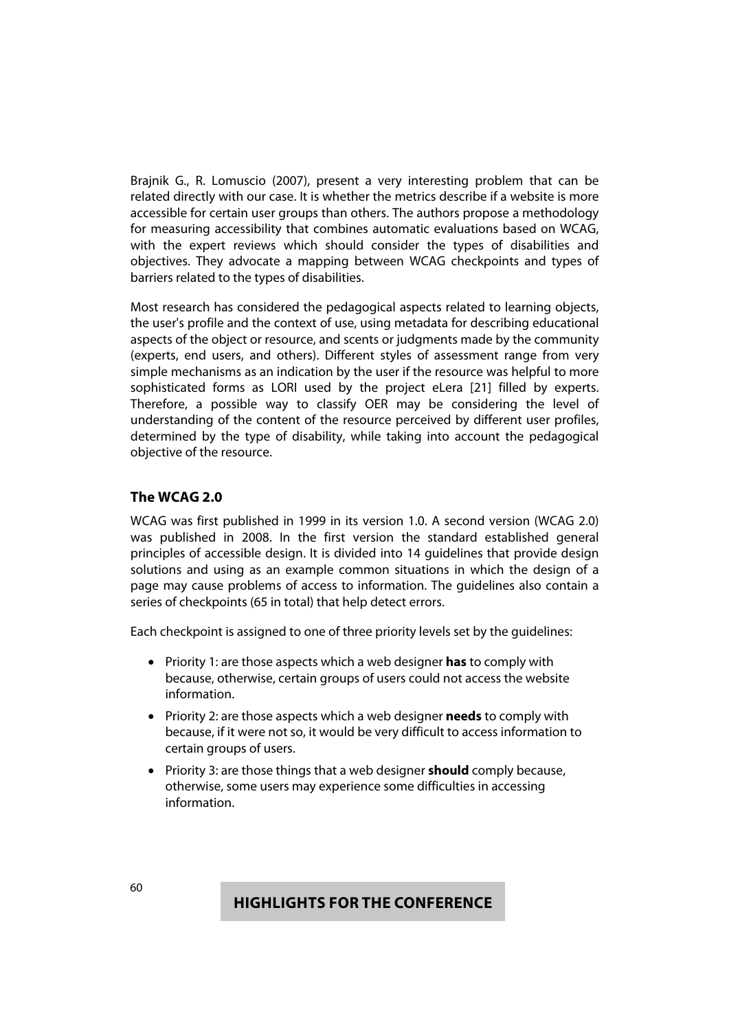Brajnik G., R. Lomuscio (2007), present a very interesting problem that can be related directly with our case. It is whether the metrics describe if a website is more accessible for certain user groups than others. The authors propose a methodology for measuring accessibility that combines automatic evaluations based on WCAG, with the expert reviews which should consider the types of disabilities and objectives. They advocate a mapping between WCAG checkpoints and types of barriers related to the types of disabilities.

Most research has considered the pedagogical aspects related to learning objects, the user's profile and the context of use, using metadata for describing educational aspects of the object or resource, and scents or judgments made by the community (experts, end users, and others). Different styles of assessment range from very simple mechanisms as an indication by the user if the resource was helpful to more sophisticated forms as LORI used by the project eLera [21] filled by experts. Therefore, a possible way to classify OER may be considering the level of understanding of the content of the resource perceived by different user profiles, determined by the type of disability, while taking into account the pedagogical objective of the resource.

### **The WCAG 2.0**

WCAG was first published in 1999 in its version 1.0. A second version (WCAG 2.0) was published in 2008. In the first version the standard established general principles of accessible design. It is divided into 14 guidelines that provide design solutions and using as an example common situations in which the design of a page may cause problems of access to information. The guidelines also contain a series of checkpoints (65 in total) that help detect errors.

Each checkpoint is assigned to one of three priority levels set by the guidelines:

- Priority 1: are those aspects which a web designer **has** to comply with because, otherwise, certain groups of users could not access the website information.
- Priority 2: are those aspects which a web designer **needs** to comply with because, if it were not so, it would be very difficult to access information to certain groups of users.
- **•** Priority 3: are those things that a web designer **should** comply because, otherwise, some users may experience some difficulties in accessing information.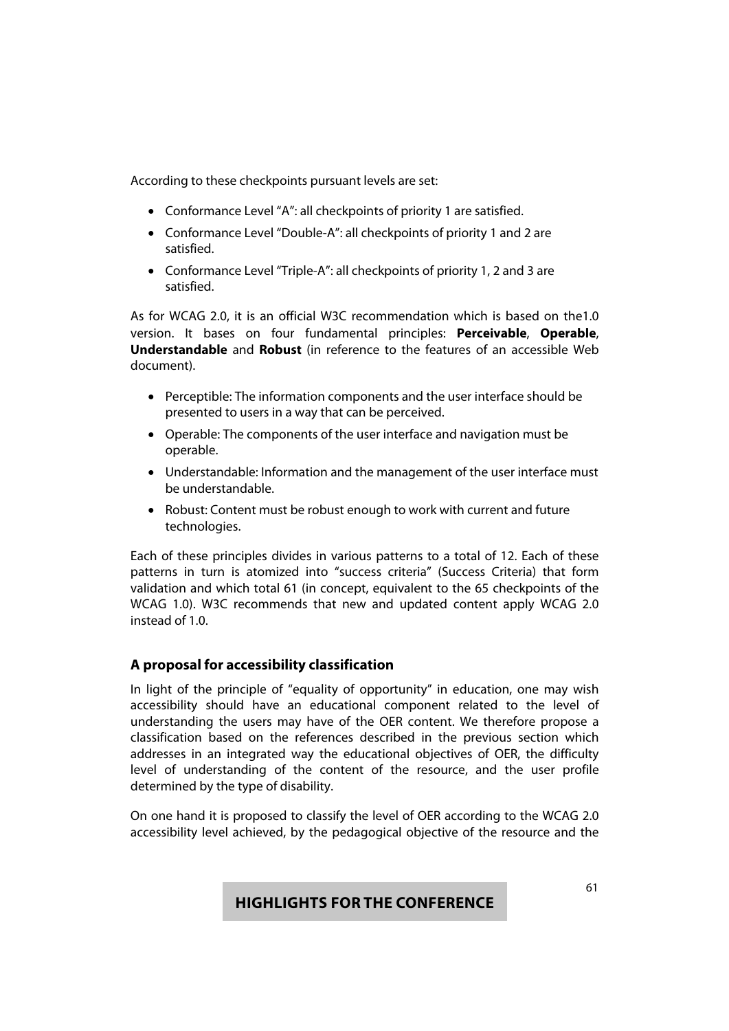According to these checkpoints pursuant levels are set:

- Conformance Level "A": all checkpoints of priority 1 are satisfied.
- Conformance Level "Double-A": all checkpoints of priority 1 and 2 are satisfied.
- Conformance Level "Triple-A": all checkpoints of priority 1, 2 and 3 are satisfied.

As for WCAG 2.0, it is an official W3C recommendation which is based on the1.0 version. It bases on four fundamental principles: **Perceivable**, **Operable**, **Understandable** and **Robust** (in reference to the features of an accessible Web document).

- Perceptible: The information components and the user interface should be presented to users in a way that can be perceived.
- Operable: The components of the user interface and navigation must be operable.
- Understandable: Information and the management of the user interface must be understandable.
- Robust: Content must be robust enough to work with current and future technologies.

Each of these principles divides in various patterns to a total of 12. Each of these patterns in turn is atomized into "success criteria" (Success Criteria) that form validation and which total 61 (in concept, equivalent to the 65 checkpoints of the WCAG 1.0). W3C recommends that new and updated content apply WCAG 2.0 instead of 1.0.

### **A proposal for accessibility classification**

In light of the principle of "equality of opportunity" in education, one may wish accessibility should have an educational component related to the level of understanding the users may have of the OER content. We therefore propose a classification based on the references described in the previous section which addresses in an integrated way the educational objectives of OER, the difficulty level of understanding of the content of the resource, and the user profile determined by the type of disability.

On one hand it is proposed to classify the level of OER according to the WCAG 2.0 accessibility level achieved, by the pedagogical objective of the resource and the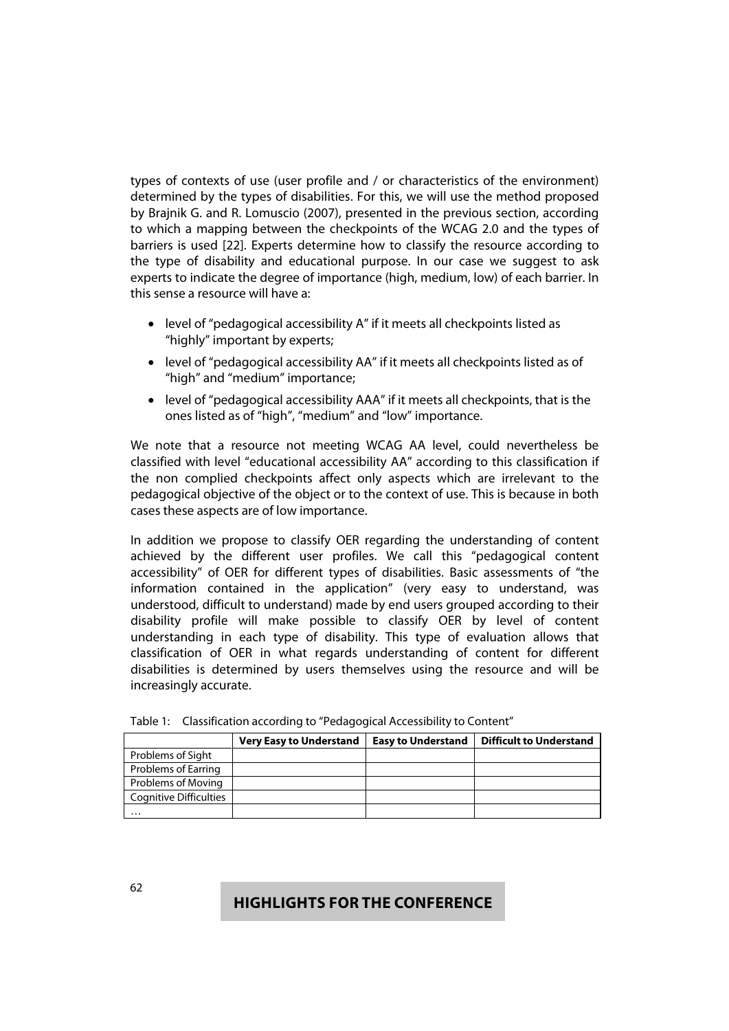types of contexts of use (user profile and / or characteristics of the environment) determined by the types of disabilities. For this, we will use the method proposed by Brajnik G. and R. Lomuscio (2007), presented in the previous section, according to which a mapping between the checkpoints of the WCAG 2.0 and the types of barriers is used [22]. Experts determine how to classify the resource according to the type of disability and educational purpose. In our case we suggest to ask experts to indicate the degree of importance (high, medium, low) of each barrier. In this sense a resource will have a:

- level of "pedagogical accessibility A" if it meets all checkpoints listed as "highly" important by experts;
- level of "pedagogical accessibility AA" if it meets all checkpoints listed as of "high" and "medium" importance;
- level of "pedagogical accessibility AAA" if it meets all checkpoints, that is the ones listed as of "high", "medium" and "low" importance.

We note that a resource not meeting WCAG AA level, could nevertheless be classified with level "educational accessibility AA" according to this classification if the non complied checkpoints affect only aspects which are irrelevant to the pedagogical objective of the object or to the context of use. This is because in both cases these aspects are of low importance.

In addition we propose to classify OER regarding the understanding of content achieved by the different user profiles. We call this "pedagogical content accessibility" of OER for different types of disabilities. Basic assessments of "the information contained in the application" (very easy to understand, was understood, difficult to understand) made by end users grouped according to their disability profile will make possible to classify OER by level of content understanding in each type of disability. This type of evaluation allows that classification of OER in what regards understanding of content for different disabilities is determined by users themselves using the resource and will be increasingly accurate.

|                               | <b>Very Easy to Understand</b> | <b>Easy to Understand</b> | <b>Difficult to Understand</b> |
|-------------------------------|--------------------------------|---------------------------|--------------------------------|
| Problems of Sight             |                                |                           |                                |
| Problems of Earring           |                                |                           |                                |
| Problems of Moving            |                                |                           |                                |
| <b>Cognitive Difficulties</b> |                                |                           |                                |
| $\cdots$                      |                                |                           |                                |

Table 1: Classification according to "Pedagogical Accessibility to Content"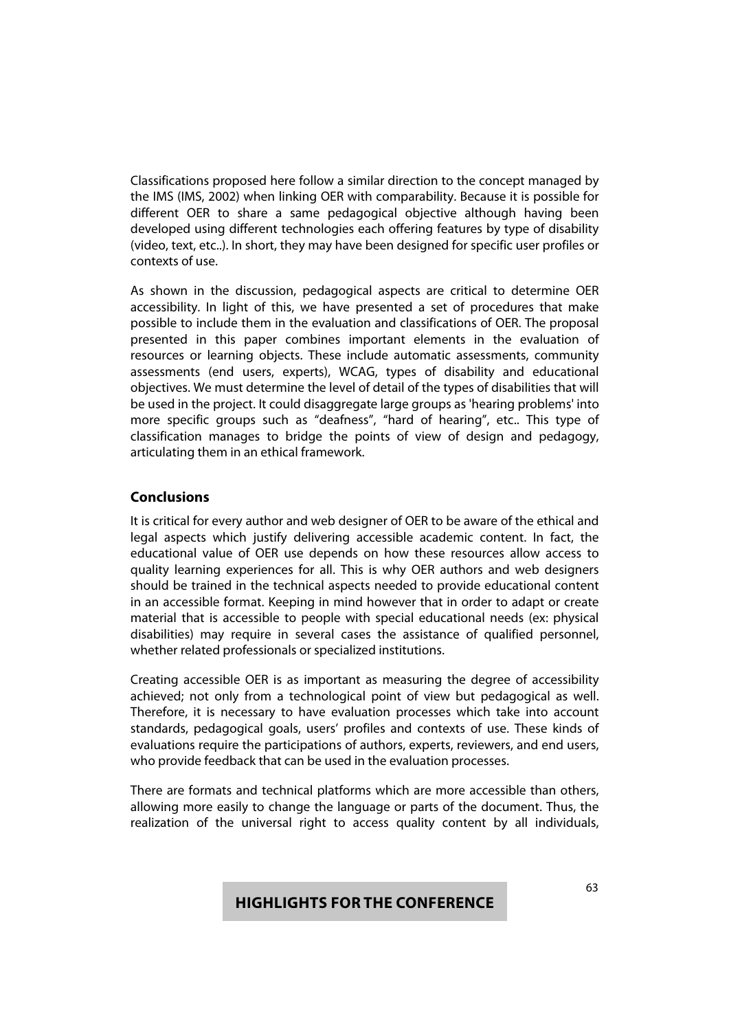Classifications proposed here follow a similar direction to the concept managed by the IMS (IMS, 2002) when linking OER with comparability. Because it is possible for different OER to share a same pedagogical objective although having been developed using different technologies each offering features by type of disability (video, text, etc..). In short, they may have been designed for specific user profiles or contexts of use.

As shown in the discussion, pedagogical aspects are critical to determine OER accessibility. In light of this, we have presented a set of procedures that make possible to include them in the evaluation and classifications of OER. The proposal presented in this paper combines important elements in the evaluation of resources or learning objects. These include automatic assessments, community assessments (end users, experts), WCAG, types of disability and educational objectives. We must determine the level of detail of the types of disabilities that will be used in the project. It could disaggregate large groups as 'hearing problems' into more specific groups such as "deafness", "hard of hearing", etc.. This type of classification manages to bridge the points of view of design and pedagogy, articulating them in an ethical framework.

### **Conclusions**

It is critical for every author and web designer of OER to be aware of the ethical and legal aspects which justify delivering accessible academic content. In fact, the educational value of OER use depends on how these resources allow access to quality learning experiences for all. This is why OER authors and web designers should be trained in the technical aspects needed to provide educational content in an accessible format. Keeping in mind however that in order to adapt or create material that is accessible to people with special educational needs (ex: physical disabilities) may require in several cases the assistance of qualified personnel, whether related professionals or specialized institutions.

Creating accessible OER is as important as measuring the degree of accessibility achieved; not only from a technological point of view but pedagogical as well. Therefore, it is necessary to have evaluation processes which take into account standards, pedagogical goals, users' profiles and contexts of use. These kinds of evaluations require the participations of authors, experts, reviewers, and end users, who provide feedback that can be used in the evaluation processes.

There are formats and technical platforms which are more accessible than others, allowing more easily to change the language or parts of the document. Thus, the realization of the universal right to access quality content by all individuals,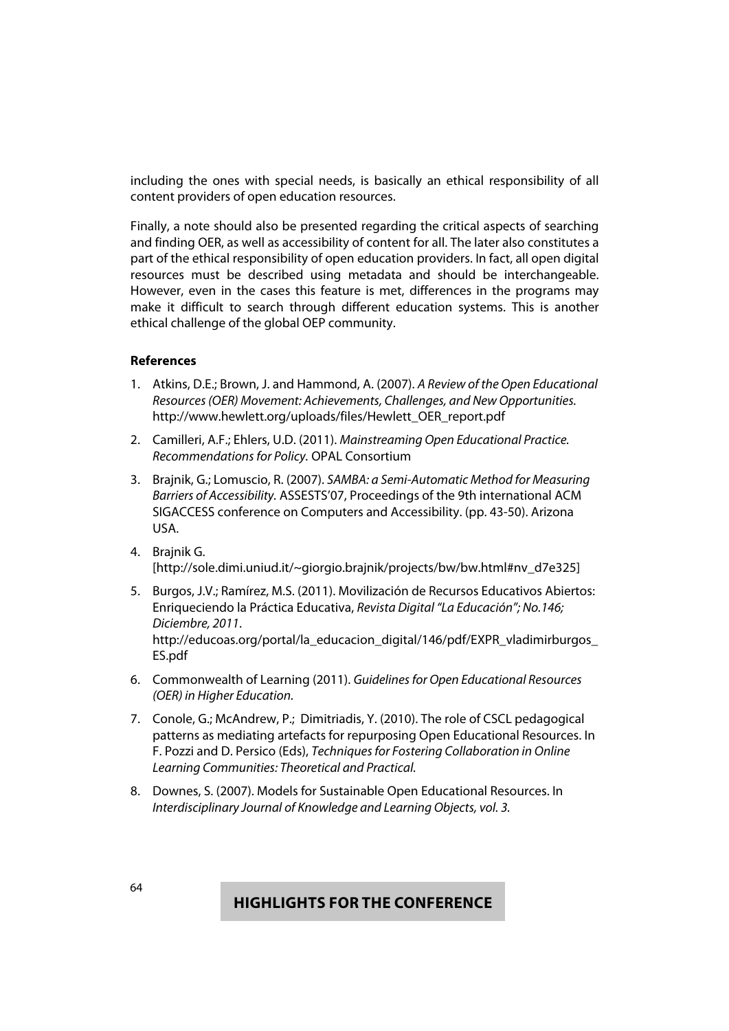including the ones with special needs, is basically an ethical responsibility of all content providers of open education resources.

Finally, a note should also be presented regarding the critical aspects of searching and finding OER, as well as accessibility of content for all. The later also constitutes a part of the ethical responsibility of open education providers. In fact, all open digital resources must be described using metadata and should be interchangeable. However, even in the cases this feature is met, differences in the programs may make it difficult to search through different education systems. This is another ethical challenge of the global OEP community.

#### **References**

- 1. Atkins, D.E.; Brown, J. and Hammond, A. (2007). A Review of the Open Educational Resources (OER) Movement: Achievements, Challenges, and New Opportunities. http://www.hewlett.org/uploads/files/Hewlett\_OER\_report.pdf
- 2. Camilleri, A.F.; Ehlers, U.D. (2011). Mainstreaming Open Educational Practice. Recommendations for Policy. OPAL Consortium
- 3. Brajnik, G.; Lomuscio, R. (2007). SAMBA: a Semi-Automatic Method for Measuring Barriers of Accessibility. ASSESTS'07, Proceedings of the 9th international ACM SIGACCESS conference on Computers and Accessibility. (pp. 43-50). Arizona USA.
- 4. Brajnik G. [http://sole.dimi.uniud.it/~giorgio.brajnik/projects/bw/bw.html#nv\_d7e325]
- 5. Burgos, J.V.; Ramírez, M.S. (2011). Movilización de Recursos Educativos Abiertos: Enriqueciendo la Práctica Educativa, Revista Digital "La Educación"; No.146; Diciembre, 2011. http://educoas.org/portal/la\_educacion\_digital/146/pdf/EXPR\_vladimirburgos\_ ES.pdf
- 6. Commonwealth of Learning (2011). Guidelines for Open Educational Resources (OER) in Higher Education.
- 7. Conole, G.; McAndrew, P.; Dimitriadis, Y. (2010). The role of CSCL pedagogical patterns as mediating artefacts for repurposing Open Educational Resources. In F. Pozzi and D. Persico (Eds), Techniques for Fostering Collaboration in Online Learning Communities: Theoretical and Practical.
- 8. Downes, S. (2007). Models for Sustainable Open Educational Resources. In Interdisciplinary Journal of Knowledge and Learning Objects, vol. 3.